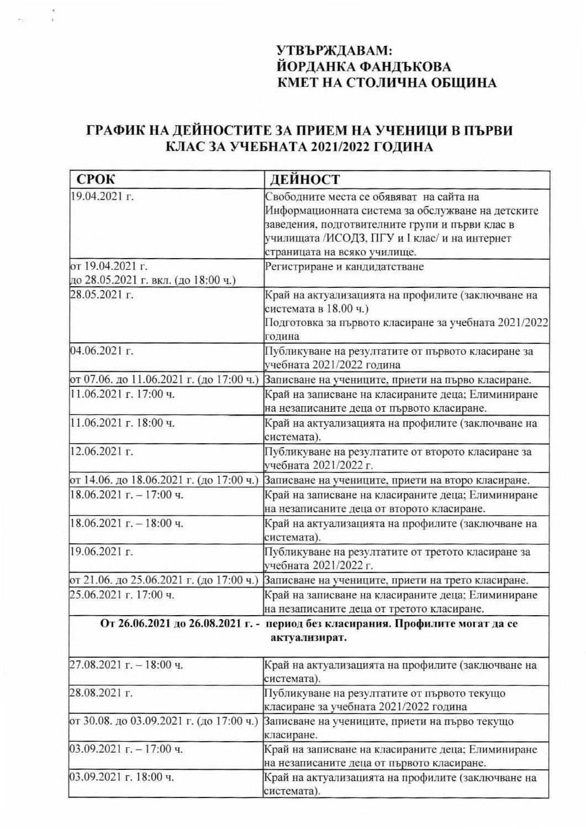## УТВЪРЖДАВАМ: ЙОРДАНКА ФАНДЪКОВА КМЕТ НА СТОЛИЧНА ОБЩИНА

## ГРАФИК НА ДЕЙНОСТИТЕ ЗА ПРИЕМ НА УЧЕНИЦИ В ПЪРВИ<br>КЛАС ЗА УЧЕБНАТА 2021/2022 ГОДИНА

| <b>СРОК</b>                              | ДЕЙНОСТ                                                                       |
|------------------------------------------|-------------------------------------------------------------------------------|
| 19.04.2021 г.                            | Свободните места се обявяват на сайта на                                      |
|                                          | Информационната система за обслужване на детските                             |
|                                          | заведения, подготвителните групи и първи клас в                               |
|                                          | училищата /ИСОДЗ, ПГУ и I клас/ и на интернет                                 |
|                                          | страницата на всяко училище.                                                  |
| от 19.04.2021 г.                         | Регистриране и кандидатстване                                                 |
| до 28.05.2021 г. вкл. (до 18:00 ч.)      |                                                                               |
| 28.05.2021 г.                            | Край на актуализацията на профилите (заключване на                            |
|                                          | системата в 18.00 ч.)                                                         |
|                                          | Подготовка за първото класиране за учебната 2021/2022                         |
|                                          | година                                                                        |
| 04.06.2021 г.                            | Публикуване на резултатите от първото класиране за                            |
|                                          | учебната 2021/2022 година                                                     |
| от 07.06. до 11.06.2021 г. (до 17:00 ч.) | Записване на учениците, приети на първо класиране.                            |
| 11.06.2021 г. 17:00 ч.                   | Край на записване на класираните деца; Елиминиране                            |
|                                          | на незаписаните деца от първото класиране.                                    |
| 11.06.2021 г. 18:00 ч.                   | Край на актуализацията на профилите (заключване на                            |
|                                          | системата).                                                                   |
| 12.06.2021 г.                            | Публикуване на резултатите от второто класиране за                            |
|                                          | учебната 2021/2022 г.                                                         |
| от 14.06. до 18.06.2021 г. (до 17:00 ч.) | Записване на учениците, приети на второ класиране.                            |
| $18.06.2021$ г. - 17:00 ч.               | Край на записване на класираните деца; Елиминиране                            |
|                                          | на незаписаните деца от второто класиране.                                    |
| $18.06.2021$ г. - 18:00 ч.               | Край на актуализацията на профилите (заключване на                            |
|                                          | системата).                                                                   |
| 19.06.2021 г.                            | Публикуване на резултатите от третото класиране за                            |
|                                          | учебната 2021/2022 г.                                                         |
| от 21.06. до 25.06.2021 г. (до 17:00 ч.) | Записване на учениците, приети на трето класиране.                            |
| 25.06.2021 г. 17:00 ч.                   | Край на записване на класираните деца; Елиминиране                            |
|                                          | на незаписаните деца от третото класиране.                                    |
|                                          | От 26.06.2021 до 26.08.2021 г. - период без класирания. Профилите могат да се |
|                                          |                                                                               |
|                                          | актуализират.                                                                 |
| $27.08.2021$ г. - 18:00 ч.               | Край на актуализацията на профилите (заключване на                            |
|                                          | системата).                                                                   |
| 28.08.2021 г.                            | Публикуване на резултатите от първото текущо                                  |
|                                          | класиране за учебната 2021/2022 година                                        |
| от 30.08. до 03.09.2021 г. (до 17:00 ч.) | Записване на учениците, приети на първо текущо                                |
|                                          | класиране.                                                                    |
| $03.09.2021$ г. - 17:00 ч.               | Край на записване на класираните деца; Елиминиране                            |
|                                          | на незаписаните деца от първото класиране.                                    |
| 03.09.2021 г. 18:00 ч.                   | Край на актуализацията на профилите (заключване на                            |
|                                          | системата)                                                                    |